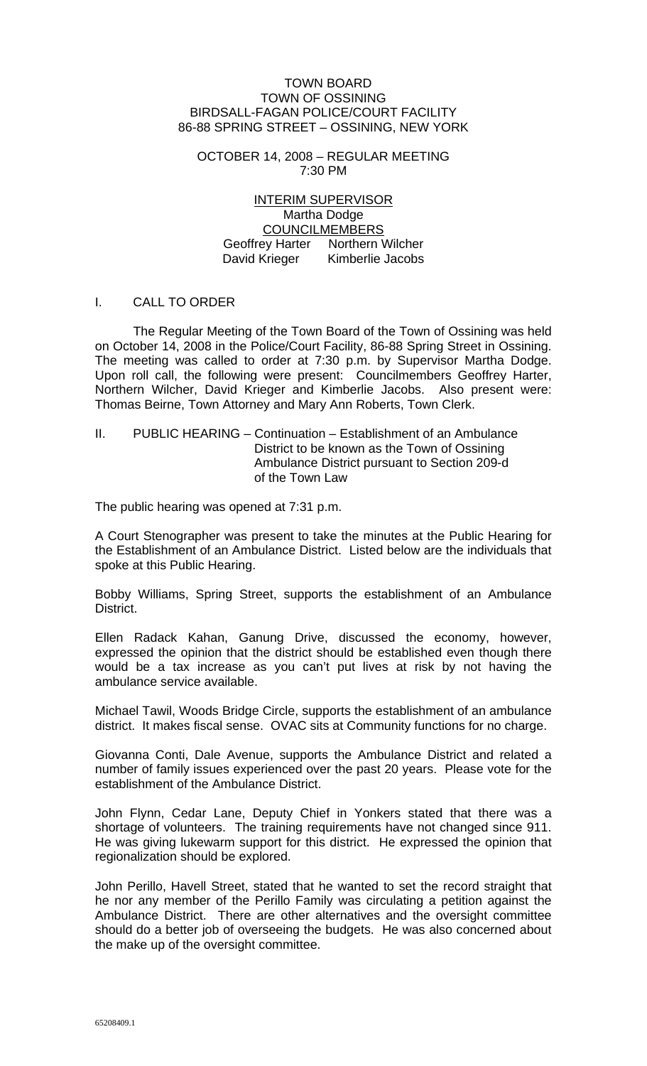#### TOWN BOARD TOWN OF OSSINING BIRDSALL-FAGAN POLICE/COURT FACILITY 86-88 SPRING STREET – OSSINING, NEW YORK

OCTOBER 14, 2008 – REGULAR MEETING 7:30 PM

INTERIM SUPERVISOR Martha Dodge COUNCILMEMBERS Geoffrey Harter Northern Wilcher David Krieger Kimberlie Jacobs

# I. CALL TO ORDER

 The Regular Meeting of the Town Board of the Town of Ossining was held on October 14, 2008 in the Police/Court Facility, 86-88 Spring Street in Ossining. The meeting was called to order at 7:30 p.m. by Supervisor Martha Dodge. Upon roll call, the following were present: Councilmembers Geoffrey Harter, Northern Wilcher, David Krieger and Kimberlie Jacobs. Also present were: Thomas Beirne, Town Attorney and Mary Ann Roberts, Town Clerk.

## II. PUBLIC HEARING – Continuation – Establishment of an Ambulance District to be known as the Town of Ossining Ambulance District pursuant to Section 209-d of the Town Law

The public hearing was opened at 7:31 p.m.

A Court Stenographer was present to take the minutes at the Public Hearing for the Establishment of an Ambulance District. Listed below are the individuals that spoke at this Public Hearing.

Bobby Williams, Spring Street, supports the establishment of an Ambulance District.

Ellen Radack Kahan, Ganung Drive, discussed the economy, however, expressed the opinion that the district should be established even though there would be a tax increase as you can't put lives at risk by not having the ambulance service available.

Michael Tawil, Woods Bridge Circle, supports the establishment of an ambulance district. It makes fiscal sense. OVAC sits at Community functions for no charge.

Giovanna Conti, Dale Avenue, supports the Ambulance District and related a number of family issues experienced over the past 20 years. Please vote for the establishment of the Ambulance District.

John Flynn, Cedar Lane, Deputy Chief in Yonkers stated that there was a shortage of volunteers. The training requirements have not changed since 911. He was giving lukewarm support for this district. He expressed the opinion that regionalization should be explored.

John Perillo, Havell Street, stated that he wanted to set the record straight that he nor any member of the Perillo Family was circulating a petition against the Ambulance District. There are other alternatives and the oversight committee should do a better job of overseeing the budgets. He was also concerned about the make up of the oversight committee.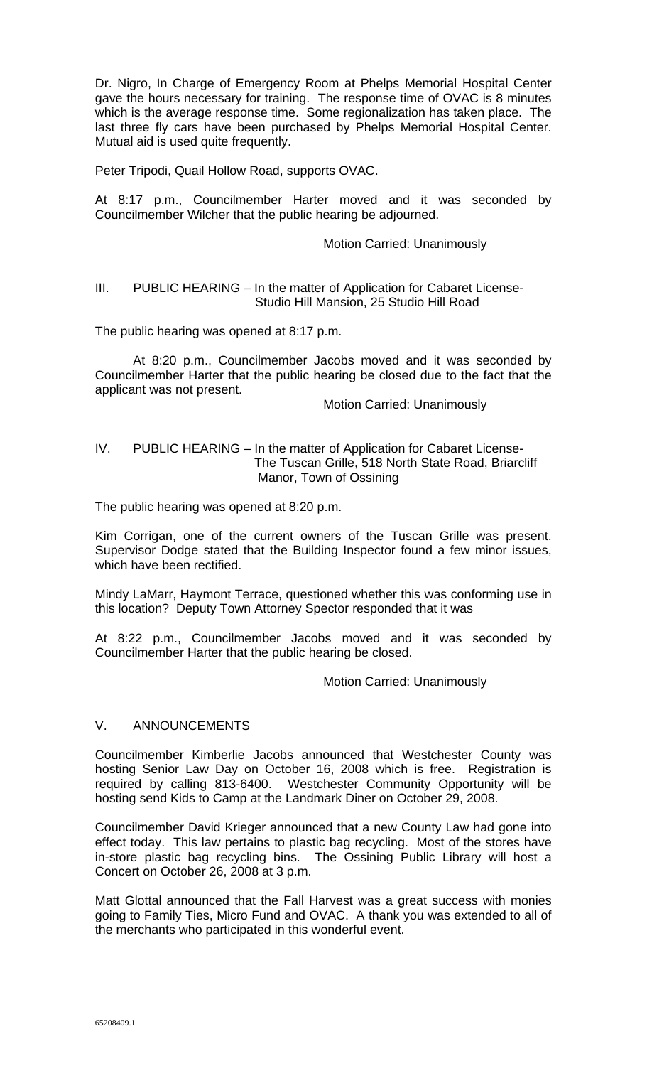Dr. Nigro, In Charge of Emergency Room at Phelps Memorial Hospital Center gave the hours necessary for training. The response time of OVAC is 8 minutes which is the average response time. Some regionalization has taken place. The last three fly cars have been purchased by Phelps Memorial Hospital Center. Mutual aid is used quite frequently.

Peter Tripodi, Quail Hollow Road, supports OVAC.

At 8:17 p.m., Councilmember Harter moved and it was seconded by Councilmember Wilcher that the public hearing be adjourned.

#### Motion Carried: Unanimously

## III. PUBLIC HEARING – In the matter of Application for Cabaret License- Studio Hill Mansion, 25 Studio Hill Road

The public hearing was opened at 8:17 p.m.

At 8:20 p.m., Councilmember Jacobs moved and it was seconded by Councilmember Harter that the public hearing be closed due to the fact that the applicant was not present.

Motion Carried: Unanimously

# IV. PUBLIC HEARING – In the matter of Application for Cabaret License- The Tuscan Grille, 518 North State Road, Briarcliff Manor, Town of Ossining

The public hearing was opened at 8:20 p.m.

Kim Corrigan, one of the current owners of the Tuscan Grille was present. Supervisor Dodge stated that the Building Inspector found a few minor issues, which have been rectified.

Mindy LaMarr, Haymont Terrace, questioned whether this was conforming use in this location? Deputy Town Attorney Spector responded that it was

At 8:22 p.m., Councilmember Jacobs moved and it was seconded by Councilmember Harter that the public hearing be closed.

Motion Carried: Unanimously

#### V. ANNOUNCEMENTS

Councilmember Kimberlie Jacobs announced that Westchester County was hosting Senior Law Day on October 16, 2008 which is free. Registration is required by calling 813-6400. Westchester Community Opportunity will be hosting send Kids to Camp at the Landmark Diner on October 29, 2008.

Councilmember David Krieger announced that a new County Law had gone into effect today. This law pertains to plastic bag recycling. Most of the stores have in-store plastic bag recycling bins. The Ossining Public Library will host a Concert on October 26, 2008 at 3 p.m.

Matt Glottal announced that the Fall Harvest was a great success with monies going to Family Ties, Micro Fund and OVAC. A thank you was extended to all of the merchants who participated in this wonderful event.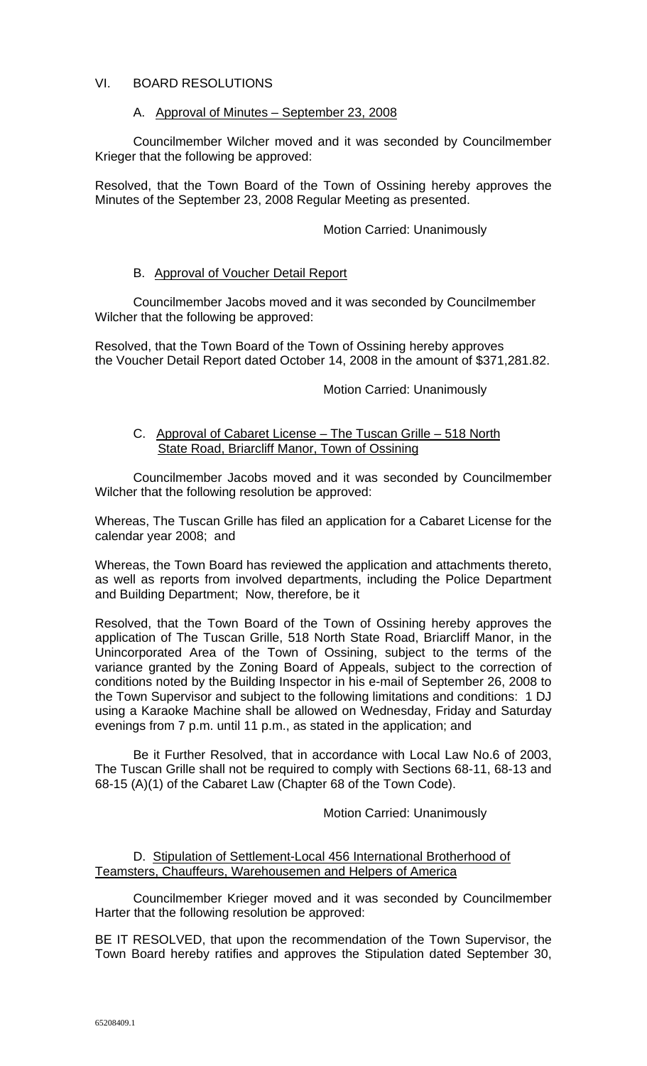# VI. BOARD RESOLUTIONS

## A. Approval of Minutes – September 23, 2008

 Councilmember Wilcher moved and it was seconded by Councilmember Krieger that the following be approved:

Resolved, that the Town Board of the Town of Ossining hereby approves the Minutes of the September 23, 2008 Regular Meeting as presented.

## Motion Carried: Unanimously

## B. Approval of Voucher Detail Report

Councilmember Jacobs moved and it was seconded by Councilmember Wilcher that the following be approved:

Resolved, that the Town Board of the Town of Ossining hereby approves the Voucher Detail Report dated October 14, 2008 in the amount of \$371,281.82.

# Motion Carried: Unanimously

## C. Approval of Cabaret License – The Tuscan Grille – 518 North State Road, Briarcliff Manor, Town of Ossining

 Councilmember Jacobs moved and it was seconded by Councilmember Wilcher that the following resolution be approved:

Whereas, The Tuscan Grille has filed an application for a Cabaret License for the calendar year 2008; and

Whereas, the Town Board has reviewed the application and attachments thereto, as well as reports from involved departments, including the Police Department and Building Department; Now, therefore, be it

Resolved, that the Town Board of the Town of Ossining hereby approves the application of The Tuscan Grille, 518 North State Road, Briarcliff Manor, in the Unincorporated Area of the Town of Ossining, subject to the terms of the variance granted by the Zoning Board of Appeals, subject to the correction of conditions noted by the Building Inspector in his e-mail of September 26, 2008 to the Town Supervisor and subject to the following limitations and conditions: 1 DJ using a Karaoke Machine shall be allowed on Wednesday, Friday and Saturday evenings from 7 p.m. until 11 p.m., as stated in the application; and

 Be it Further Resolved, that in accordance with Local Law No.6 of 2003, The Tuscan Grille shall not be required to comply with Sections 68-11, 68-13 and 68-15 (A)(1) of the Cabaret Law (Chapter 68 of the Town Code).

#### Motion Carried: Unanimously

# D. Stipulation of Settlement-Local 456 International Brotherhood of Teamsters, Chauffeurs, Warehousemen and Helpers of America

Councilmember Krieger moved and it was seconded by Councilmember Harter that the following resolution be approved:

BE IT RESOLVED, that upon the recommendation of the Town Supervisor, the Town Board hereby ratifies and approves the Stipulation dated September 30,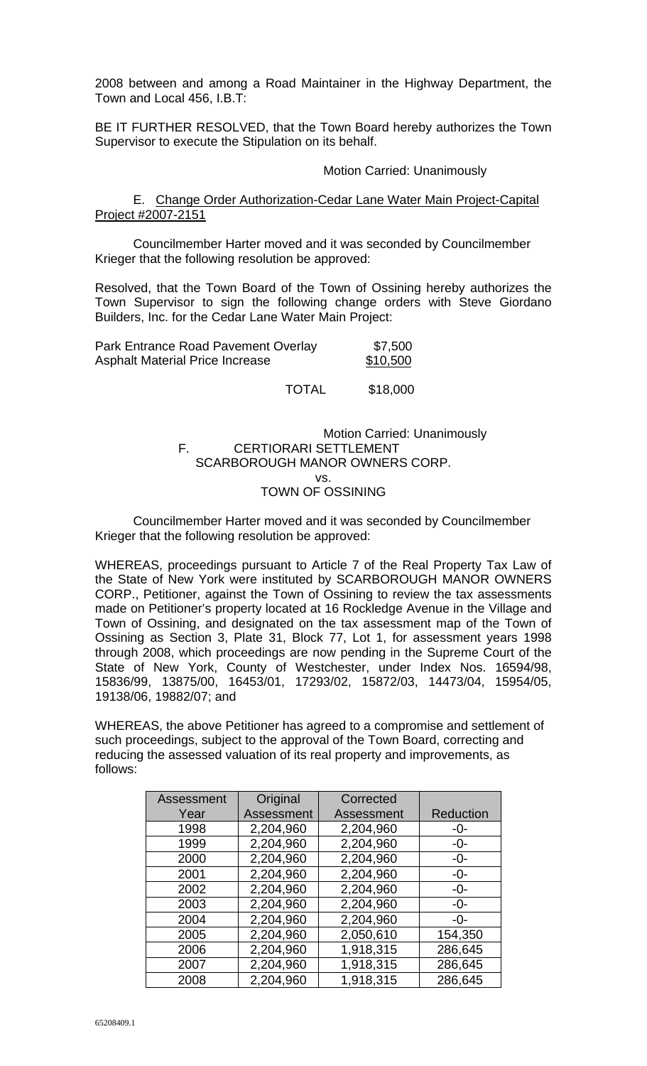2008 between and among a Road Maintainer in the Highway Department, the Town and Local 456, I.B.T:

BE IT FURTHER RESOLVED, that the Town Board hereby authorizes the Town Supervisor to execute the Stipulation on its behalf.

#### Motion Carried: Unanimously

E. Change Order Authorization-Cedar Lane Water Main Project-Capital Project #2007-2151

 Councilmember Harter moved and it was seconded by Councilmember Krieger that the following resolution be approved:

Resolved, that the Town Board of the Town of Ossining hereby authorizes the Town Supervisor to sign the following change orders with Steve Giordano Builders, Inc. for the Cedar Lane Water Main Project:

| Park Entrance Road Pavement Overlay    | \$7,500  |
|----------------------------------------|----------|
| <b>Asphalt Material Price Increase</b> | \$10,500 |

TOTAL \$18,000

#### Motion Carried: Unanimously F. CERTIORARI SETTLEMENT SCARBOROUGH MANOR OWNERS CORP. vs. TOWN OF OSSINING

 Councilmember Harter moved and it was seconded by Councilmember Krieger that the following resolution be approved:

WHEREAS, proceedings pursuant to Article 7 of the Real Property Tax Law of the State of New York were instituted by SCARBOROUGH MANOR OWNERS CORP., Petitioner, against the Town of Ossining to review the tax assessments made on Petitioner's property located at 16 Rockledge Avenue in the Village and Town of Ossining, and designated on the tax assessment map of the Town of Ossining as Section 3, Plate 31, Block 77, Lot 1, for assessment years 1998 through 2008, which proceedings are now pending in the Supreme Court of the State of New York, County of Westchester, under Index Nos. 16594/98, 15836/99, 13875/00, 16453/01, 17293/02, 15872/03, 14473/04, 15954/05, 19138/06, 19882/07; and

WHEREAS, the above Petitioner has agreed to a compromise and settlement of such proceedings, subject to the approval of the Town Board, correcting and reducing the assessed valuation of its real property and improvements, as follows:

| Assessment | Original   | Corrected  |           |
|------------|------------|------------|-----------|
| Year       | Assessment | Assessment | Reduction |
| 1998       | 2,204,960  | 2,204,960  | -0-       |
| 1999       | 2,204,960  | 2,204,960  | -0-       |
| 2000       | 2,204,960  | 2,204,960  | -0-       |
| 2001       | 2,204,960  | 2,204,960  | $-0-$     |
| 2002       | 2,204,960  | 2,204,960  | $-0-$     |
| 2003       | 2,204,960  | 2,204,960  | $-0-$     |
| 2004       | 2,204,960  | 2,204,960  | $-0-$     |
| 2005       | 2,204,960  | 2,050,610  | 154,350   |
| 2006       | 2,204,960  | 1,918,315  | 286,645   |
| 2007       | 2,204,960  | 1,918,315  | 286,645   |
| 2008       | 2,204,960  | 1,918,315  | 286,645   |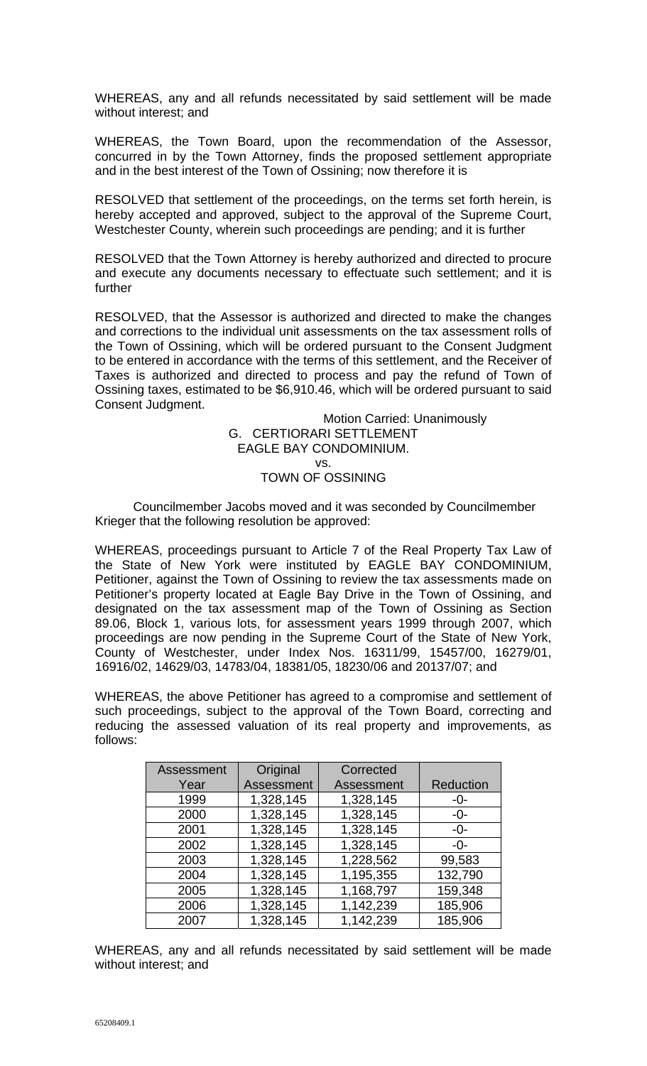WHEREAS, any and all refunds necessitated by said settlement will be made without interest; and

WHEREAS, the Town Board, upon the recommendation of the Assessor, concurred in by the Town Attorney, finds the proposed settlement appropriate and in the best interest of the Town of Ossining; now therefore it is

RESOLVED that settlement of the proceedings, on the terms set forth herein, is hereby accepted and approved, subject to the approval of the Supreme Court, Westchester County, wherein such proceedings are pending; and it is further

RESOLVED that the Town Attorney is hereby authorized and directed to procure and execute any documents necessary to effectuate such settlement; and it is further

RESOLVED, that the Assessor is authorized and directed to make the changes and corrections to the individual unit assessments on the tax assessment rolls of the Town of Ossining, which will be ordered pursuant to the Consent Judgment to be entered in accordance with the terms of this settlement, and the Receiver of Taxes is authorized and directed to process and pay the refund of Town of Ossining taxes, estimated to be \$6,910.46, which will be ordered pursuant to said Consent Judgment.

> Motion Carried: Unanimously G. CERTIORARI SETTLEMENT EAGLE BAY CONDOMINIUM. vs. TOWN OF OSSINING

 Councilmember Jacobs moved and it was seconded by Councilmember Krieger that the following resolution be approved:

WHEREAS, proceedings pursuant to Article 7 of the Real Property Tax Law of the State of New York were instituted by EAGLE BAY CONDOMINIUM, Petitioner, against the Town of Ossining to review the tax assessments made on Petitioner's property located at Eagle Bay Drive in the Town of Ossining, and designated on the tax assessment map of the Town of Ossining as Section 89.06, Block 1, various lots, for assessment years 1999 through 2007, which proceedings are now pending in the Supreme Court of the State of New York, County of Westchester, under Index Nos. 16311/99, 15457/00, 16279/01, 16916/02, 14629/03, 14783/04, 18381/05, 18230/06 and 20137/07; and

WHEREAS, the above Petitioner has agreed to a compromise and settlement of such proceedings, subject to the approval of the Town Board, correcting and reducing the assessed valuation of its real property and improvements, as follows:

| Assessment | Original   | Corrected  |                  |
|------------|------------|------------|------------------|
| Year       | Assessment | Assessment | <b>Reduction</b> |
| 1999       | 1,328,145  | 1,328,145  | -0-              |
| 2000       | 1,328,145  | 1,328,145  | -0-              |
| 2001       | 1,328,145  | 1,328,145  | -0-              |
| 2002       | 1,328,145  | 1,328,145  | -0-              |
| 2003       | 1,328,145  | 1,228,562  | 99,583           |
| 2004       | 1,328,145  | 1,195,355  | 132,790          |
| 2005       | 1,328,145  | 1,168,797  | 159,348          |
| 2006       | 1,328,145  | 1,142,239  | 185,906          |
| 2007       | 1,328,145  | 1,142,239  | 185,906          |

WHEREAS, any and all refunds necessitated by said settlement will be made without interest; and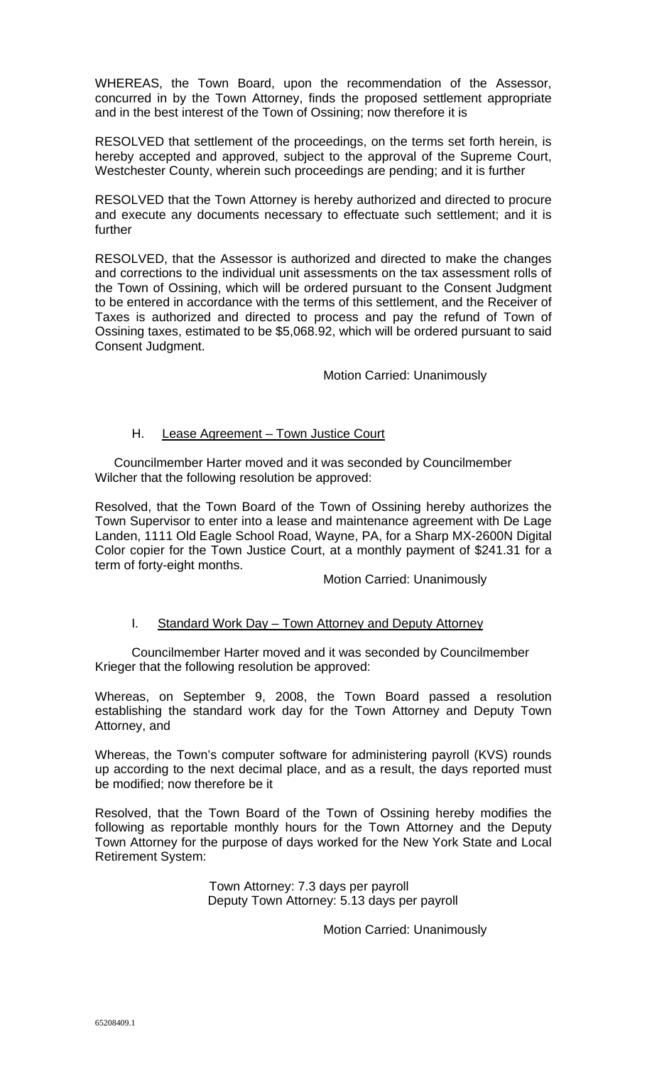WHEREAS, the Town Board, upon the recommendation of the Assessor, concurred in by the Town Attorney, finds the proposed settlement appropriate and in the best interest of the Town of Ossining; now therefore it is

RESOLVED that settlement of the proceedings, on the terms set forth herein, is hereby accepted and approved, subject to the approval of the Supreme Court, Westchester County, wherein such proceedings are pending; and it is further

RESOLVED that the Town Attorney is hereby authorized and directed to procure and execute any documents necessary to effectuate such settlement; and it is further

RESOLVED, that the Assessor is authorized and directed to make the changes and corrections to the individual unit assessments on the tax assessment rolls of the Town of Ossining, which will be ordered pursuant to the Consent Judgment to be entered in accordance with the terms of this settlement, and the Receiver of Taxes is authorized and directed to process and pay the refund of Town of Ossining taxes, estimated to be \$5,068.92, which will be ordered pursuant to said Consent Judgment.

Motion Carried: Unanimously

# H. Lease Agreement – Town Justice Court

Councilmember Harter moved and it was seconded by Councilmember Wilcher that the following resolution be approved:

Resolved, that the Town Board of the Town of Ossining hereby authorizes the Town Supervisor to enter into a lease and maintenance agreement with De Lage Landen, 1111 Old Eagle School Road, Wayne, PA, for a Sharp MX-2600N Digital Color copier for the Town Justice Court, at a monthly payment of \$241.31 for a term of forty-eight months.

Motion Carried: Unanimously

# I. Standard Work Day - Town Attorney and Deputy Attorney

Councilmember Harter moved and it was seconded by Councilmember Krieger that the following resolution be approved:

Whereas, on September 9, 2008, the Town Board passed a resolution establishing the standard work day for the Town Attorney and Deputy Town Attorney, and

Whereas, the Town's computer software for administering payroll (KVS) rounds up according to the next decimal place, and as a result, the days reported must be modified; now therefore be it

Resolved, that the Town Board of the Town of Ossining hereby modifies the following as reportable monthly hours for the Town Attorney and the Deputy Town Attorney for the purpose of days worked for the New York State and Local Retirement System:

> Town Attorney: 7.3 days per payroll Deputy Town Attorney: 5.13 days per payroll

> > Motion Carried: Unanimously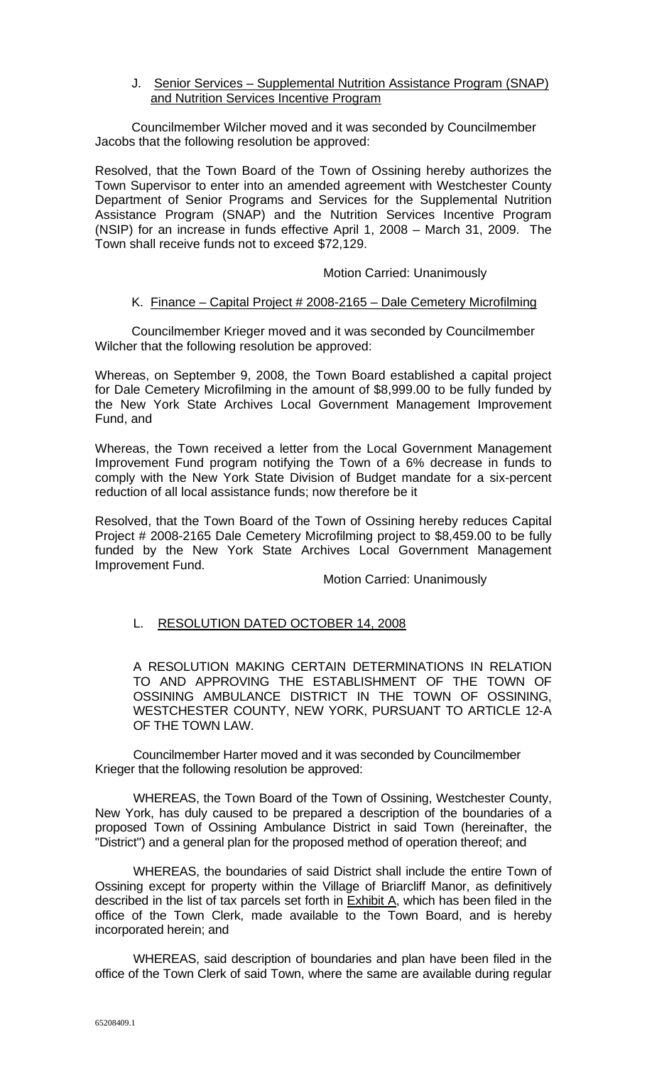J. Senior Services - Supplemental Nutrition Assistance Program (SNAP) and Nutrition Services Incentive Program

Councilmember Wilcher moved and it was seconded by Councilmember Jacobs that the following resolution be approved:

Resolved, that the Town Board of the Town of Ossining hereby authorizes the Town Supervisor to enter into an amended agreement with Westchester County Department of Senior Programs and Services for the Supplemental Nutrition Assistance Program (SNAP) and the Nutrition Services Incentive Program (NSIP) for an increase in funds effective April 1, 2008 – March 31, 2009. The Town shall receive funds not to exceed \$72,129.

#### Motion Carried: Unanimously

#### K. Finance – Capital Project # 2008-2165 – Dale Cemetery Microfilming

Councilmember Krieger moved and it was seconded by Councilmember Wilcher that the following resolution be approved:

Whereas, on September 9, 2008, the Town Board established a capital project for Dale Cemetery Microfilming in the amount of \$8,999.00 to be fully funded by the New York State Archives Local Government Management Improvement Fund, and

Whereas, the Town received a letter from the Local Government Management Improvement Fund program notifying the Town of a 6% decrease in funds to comply with the New York State Division of Budget mandate for a six-percent reduction of all local assistance funds; now therefore be it

Resolved, that the Town Board of the Town of Ossining hereby reduces Capital Project # 2008-2165 Dale Cemetery Microfilming project to \$8,459.00 to be fully funded by the New York State Archives Local Government Management Improvement Fund.

Motion Carried: Unanimously

# L. RESOLUTION DATED OCTOBER 14, 2008

A RESOLUTION MAKING CERTAIN DETERMINATIONS IN RELATION TO AND APPROVING THE ESTABLISHMENT OF THE TOWN OF OSSINING AMBULANCE DISTRICT IN THE TOWN OF OSSINING, WESTCHESTER COUNTY, NEW YORK, PURSUANT TO ARTICLE 12-A OF THE TOWN LAW.

Councilmember Harter moved and it was seconded by Councilmember Krieger that the following resolution be approved:

WHEREAS, the Town Board of the Town of Ossining, Westchester County, New York, has duly caused to be prepared a description of the boundaries of a proposed Town of Ossining Ambulance District in said Town (hereinafter, the "District") and a general plan for the proposed method of operation thereof; and

WHEREAS, the boundaries of said District shall include the entire Town of Ossining except for property within the Village of Briarcliff Manor, as definitively described in the list of tax parcels set forth in **Exhibit A**, which has been filed in the office of the Town Clerk, made available to the Town Board, and is hereby incorporated herein; and

WHEREAS, said description of boundaries and plan have been filed in the office of the Town Clerk of said Town, where the same are available during regular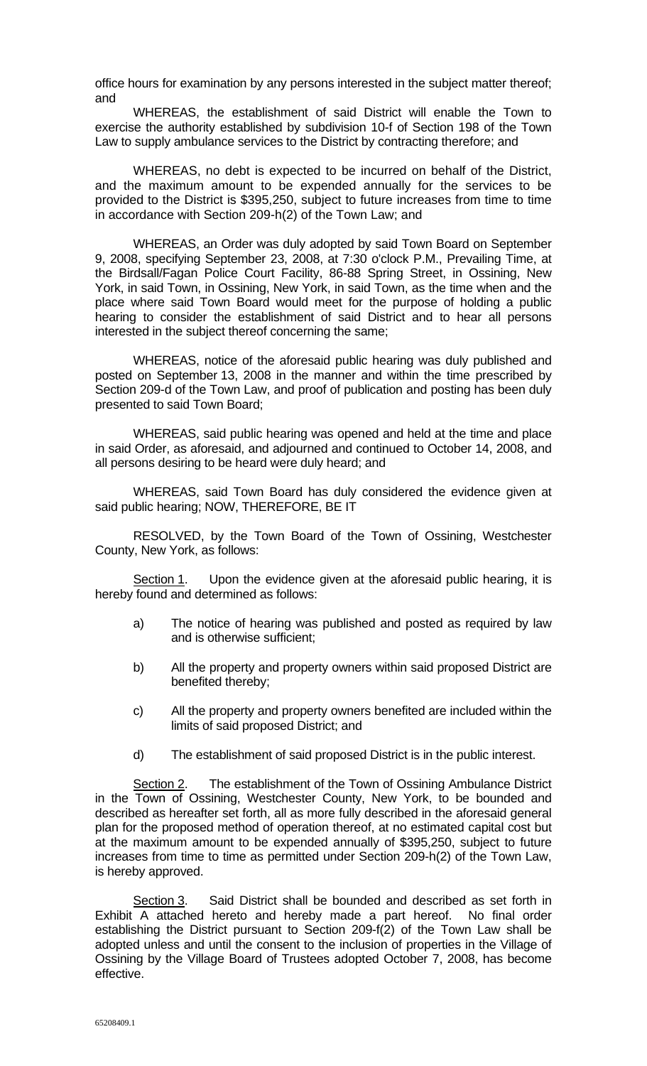office hours for examination by any persons interested in the subject matter thereof; and

WHEREAS, the establishment of said District will enable the Town to exercise the authority established by subdivision 10-f of Section 198 of the Town Law to supply ambulance services to the District by contracting therefore; and

WHEREAS, no debt is expected to be incurred on behalf of the District, and the maximum amount to be expended annually for the services to be provided to the District is \$395,250, subject to future increases from time to time in accordance with Section 209-h(2) of the Town Law; and

WHEREAS, an Order was duly adopted by said Town Board on September 9, 2008, specifying September 23, 2008, at 7:30 o'clock P.M., Prevailing Time, at the Birdsall/Fagan Police Court Facility, 86-88 Spring Street, in Ossining, New York, in said Town, in Ossining, New York, in said Town, as the time when and the place where said Town Board would meet for the purpose of holding a public hearing to consider the establishment of said District and to hear all persons interested in the subject thereof concerning the same;

WHEREAS, notice of the aforesaid public hearing was duly published and posted on September 13, 2008 in the manner and within the time prescribed by Section 209-d of the Town Law, and proof of publication and posting has been duly presented to said Town Board;

WHEREAS, said public hearing was opened and held at the time and place in said Order, as aforesaid, and adjourned and continued to October 14, 2008, and all persons desiring to be heard were duly heard; and

WHEREAS, said Town Board has duly considered the evidence given at said public hearing; NOW, THEREFORE, BE IT

RESOLVED, by the Town Board of the Town of Ossining, Westchester County, New York, as follows:

Section 1. Upon the evidence given at the aforesaid public hearing, it is hereby found and determined as follows:

- a) The notice of hearing was published and posted as required by law and is otherwise sufficient;
- b) All the property and property owners within said proposed District are benefited thereby;
- c) All the property and property owners benefited are included within the limits of said proposed District; and
- d) The establishment of said proposed District is in the public interest.

Section 2. The establishment of the Town of Ossining Ambulance District in the Town of Ossining, Westchester County, New York, to be bounded and described as hereafter set forth, all as more fully described in the aforesaid general plan for the proposed method of operation thereof, at no estimated capital cost but at the maximum amount to be expended annually of \$395,250, subject to future increases from time to time as permitted under Section 209-h(2) of the Town Law, is hereby approved.

Section 3. Said District shall be bounded and described as set forth in Exhibit A attached hereto and hereby made a part hereof. No final order establishing the District pursuant to Section 209-f(2) of the Town Law shall be adopted unless and until the consent to the inclusion of properties in the Village of Ossining by the Village Board of Trustees adopted October 7, 2008, has become effective.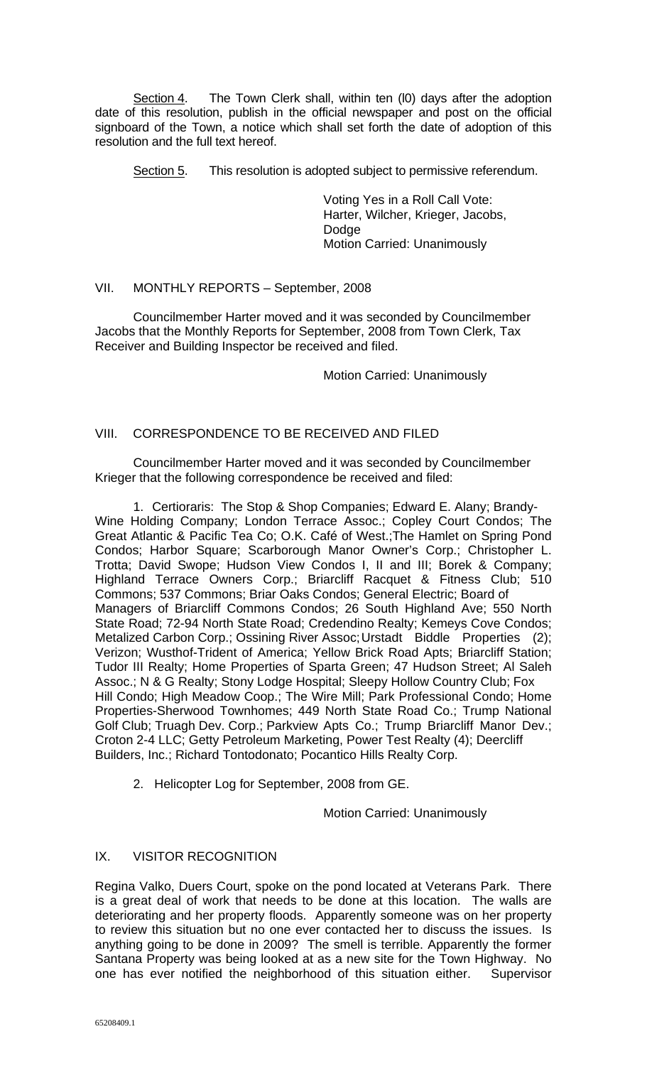Section 4. The Town Clerk shall, within ten (I0) days after the adoption date of this resolution, publish in the official newspaper and post on the official signboard of the Town, a notice which shall set forth the date of adoption of this resolution and the full text hereof.

Section 5. This resolution is adopted subject to permissive referendum.

 Voting Yes in a Roll Call Vote: Harter, Wilcher, Krieger, Jacobs, Dodge Motion Carried: Unanimously

# VII. MONTHLY REPORTS – September, 2008

 Councilmember Harter moved and it was seconded by Councilmember Jacobs that the Monthly Reports for September, 2008 from Town Clerk, Tax Receiver and Building Inspector be received and filed.

Motion Carried: Unanimously

# VIII. CORRESPONDENCE TO BE RECEIVED AND FILED

 Councilmember Harter moved and it was seconded by Councilmember Krieger that the following correspondence be received and filed:

1. Certioraris: The Stop & Shop Companies; Edward E. Alany; Brandy-Wine Holding Company; London Terrace Assoc.; Copley Court Condos; The Great Atlantic & Pacific Tea Co; O.K. Café of West.;The Hamlet on Spring Pond Condos; Harbor Square; Scarborough Manor Owner's Corp.; Christopher L. Trotta; David Swope; Hudson View Condos I, II and III; Borek & Company; Highland Terrace Owners Corp.; Briarcliff Racquet & Fitness Club; 510 Commons; 537 Commons; Briar Oaks Condos; General Electric; Board of Managers of Briarcliff Commons Condos; 26 South Highland Ave; 550 North State Road; 72-94 North State Road; Credendino Realty; Kemeys Cove Condos; Metalized Carbon Corp.; Ossining River Assoc; Urstadt Biddle Properties (2); Verizon; Wusthof-Trident of America; Yellow Brick Road Apts; Briarcliff Station; Tudor III Realty; Home Properties of Sparta Green; 47 Hudson Street; Al Saleh Assoc.; N & G Realty; Stony Lodge Hospital; Sleepy Hollow Country Club; Fox Hill Condo; High Meadow Coop.; The Wire Mill; Park Professional Condo; Home Properties-Sherwood Townhomes; 449 North State Road Co.; Trump National Golf Club; Truagh Dev. Corp.; Parkview Apts Co.; Trump Briarcliff Manor Dev.; Croton 2-4 LLC; Getty Petroleum Marketing, Power Test Realty (4); Deercliff Builders, Inc.; Richard Tontodonato; Pocantico Hills Realty Corp.

2. Helicopter Log for September, 2008 from GE.

Motion Carried: Unanimously

# IX. VISITOR RECOGNITION

Regina Valko, Duers Court, spoke on the pond located at Veterans Park. There is a great deal of work that needs to be done at this location. The walls are deteriorating and her property floods. Apparently someone was on her property to review this situation but no one ever contacted her to discuss the issues. Is anything going to be done in 2009? The smell is terrible. Apparently the former Santana Property was being looked at as a new site for the Town Highway. No one has ever notified the neighborhood of this situation either. Supervisor